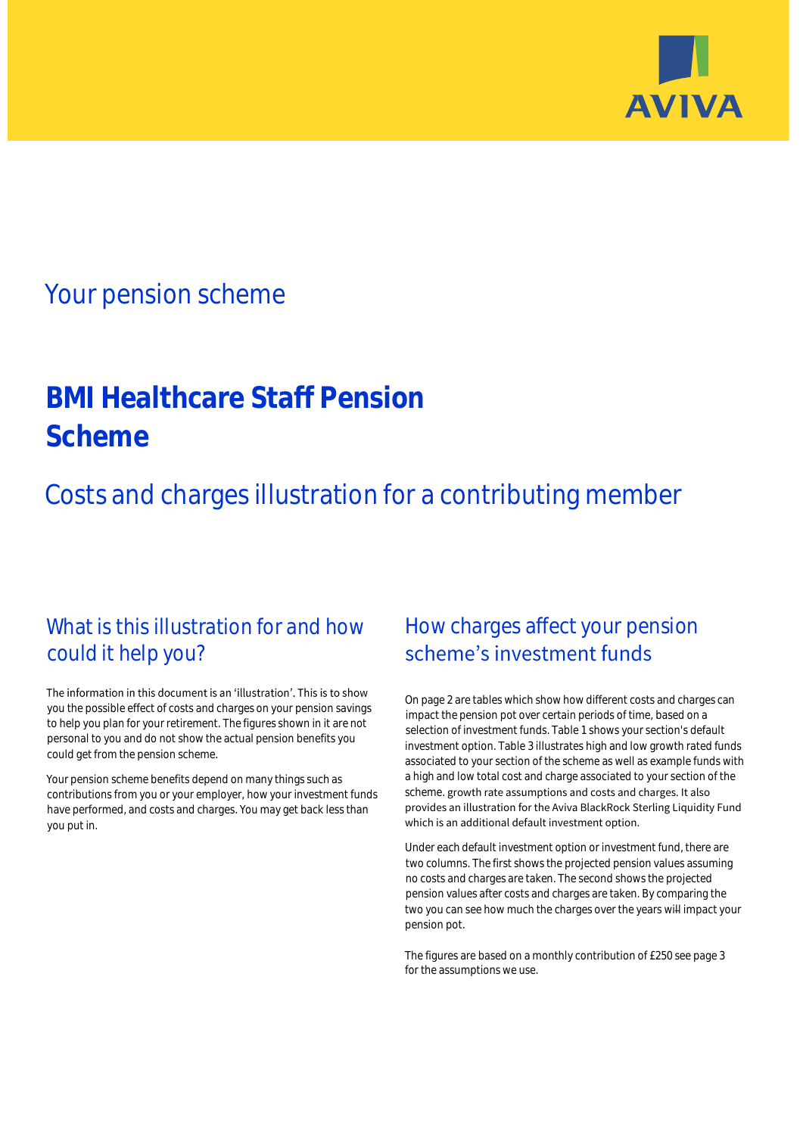

## Your pension scheme

# **BMI Healthcare Staff Pension Scheme**

Costs and charges illustration for a contributing member

### What is this illustration for and how could it help you?

#### The information in this document is an 'illustration'. This is to show you the possible effect of costs and charges on your pension savings to help you plan for your retirement. The figures shown in it are not personal to you and do not show the actual pension benefits you could get from the pension scheme.

Your pension scheme benefits depend on many things such as contributions from you or your employer, how your investment funds have performed, and costs and charges. You may get back less than you put in.

### How charges affect your pension scheme's investment funds

On page 2 are tables which show how different costs and charges can impact the pension pot over certain periods of time, based on a selection of investment funds. Table 1 shows your section's default investment option. Table 3 illustrates high and low growth rated funds associated to your section of the scheme as well as example funds with a high and low total cost and charge associated to your section of the scheme. growth rate assumptions and costs and charges. It also provides an illustration for the Aviva BlackRock Sterling Liquidity Fund which is an additional default investment option.

Under each default investment option or investment fund, there are two columns. The first shows the projected pension values assuming no costs and charges are taken. The second shows the projected pension values after costs and charges are taken. By comparing the two you can see how much the charges over the years will impact your pension pot.

The figures are based on a monthly contribution of £250 see page 3 for the assumptions we use.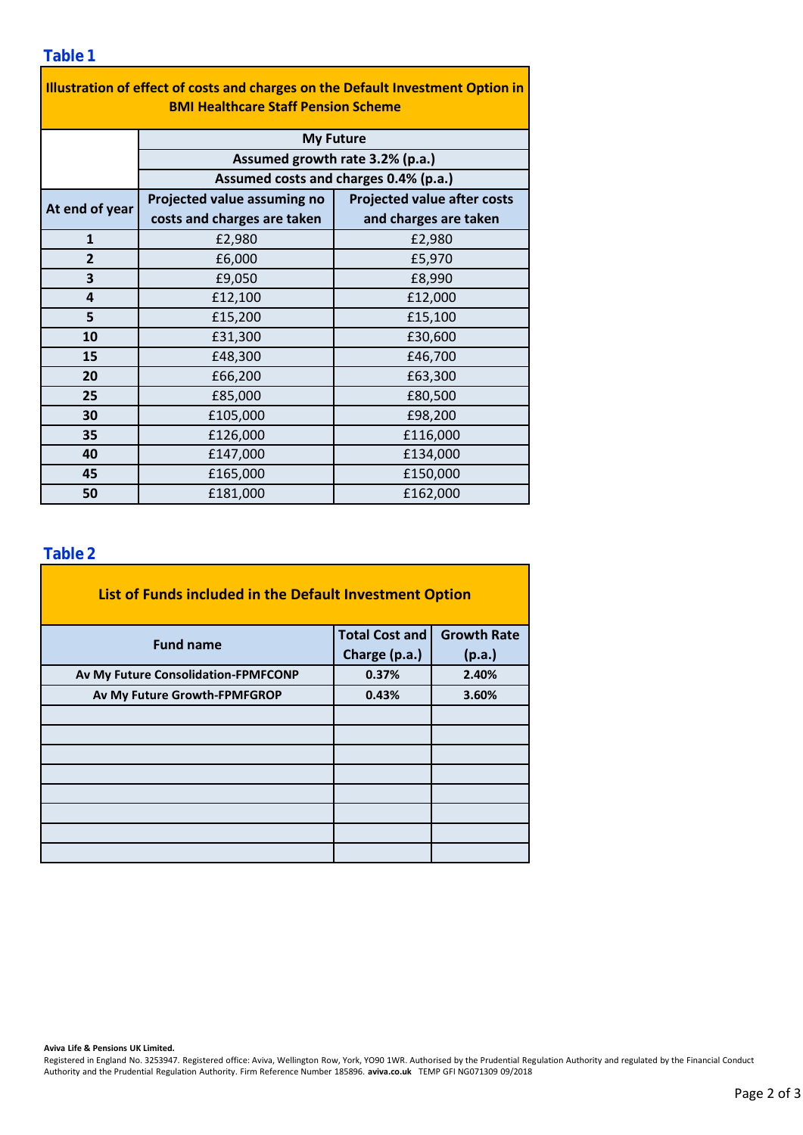| Illustration of effect of costs and charges on the Default Investment Option in<br><b>BMI Healthcare Staff Pension Scheme</b> |                                                                          |                                    |  |  |  |  |  |  |  |
|-------------------------------------------------------------------------------------------------------------------------------|--------------------------------------------------------------------------|------------------------------------|--|--|--|--|--|--|--|
|                                                                                                                               | <b>My Future</b>                                                         |                                    |  |  |  |  |  |  |  |
|                                                                                                                               | Assumed growth rate 3.2% (p.a.)<br>Assumed costs and charges 0.4% (p.a.) |                                    |  |  |  |  |  |  |  |
|                                                                                                                               |                                                                          |                                    |  |  |  |  |  |  |  |
| At end of year                                                                                                                | Projected value assuming no                                              | <b>Projected value after costs</b> |  |  |  |  |  |  |  |
|                                                                                                                               | costs and charges are taken                                              | and charges are taken              |  |  |  |  |  |  |  |
| $\mathbf{1}$                                                                                                                  | £2,980                                                                   | £2,980                             |  |  |  |  |  |  |  |
| $\overline{2}$                                                                                                                | £6,000                                                                   | £5,970                             |  |  |  |  |  |  |  |
| 3                                                                                                                             | £9,050                                                                   | £8,990                             |  |  |  |  |  |  |  |
| 4                                                                                                                             | £12,100                                                                  | £12,000                            |  |  |  |  |  |  |  |
| 5                                                                                                                             | £15,200                                                                  | £15,100<br>£30,600                 |  |  |  |  |  |  |  |
| 10                                                                                                                            | £31,300                                                                  |                                    |  |  |  |  |  |  |  |
| 15                                                                                                                            | £48,300                                                                  | £46,700                            |  |  |  |  |  |  |  |
| 20                                                                                                                            | £66,200                                                                  | £63,300                            |  |  |  |  |  |  |  |
| 25                                                                                                                            | £85,000                                                                  | £80,500                            |  |  |  |  |  |  |  |
| 30                                                                                                                            | £105,000                                                                 | £98,200                            |  |  |  |  |  |  |  |
| 35                                                                                                                            | £126,000                                                                 | £116,000                           |  |  |  |  |  |  |  |
| 40                                                                                                                            | £147,000                                                                 | £134,000                           |  |  |  |  |  |  |  |
| 45                                                                                                                            | £165,000                                                                 | £150,000                           |  |  |  |  |  |  |  |
| 50                                                                                                                            | £181,000                                                                 | £162,000                           |  |  |  |  |  |  |  |

### **Table 2**

| List of Funds included in the Default Investment Option |                       |                    |  |  |  |  |  |  |
|---------------------------------------------------------|-----------------------|--------------------|--|--|--|--|--|--|
| <b>Fund name</b>                                        | <b>Total Cost and</b> | <b>Growth Rate</b> |  |  |  |  |  |  |
|                                                         | Charge (p.a.)         | (p.a.)             |  |  |  |  |  |  |
| Av My Future Consolidation-FPMFCONP                     | 0.37%                 | 2.40%              |  |  |  |  |  |  |
| Av My Future Growth-FPMFGROP                            | 0.43%                 | 3.60%              |  |  |  |  |  |  |
|                                                         |                       |                    |  |  |  |  |  |  |
|                                                         |                       |                    |  |  |  |  |  |  |
|                                                         |                       |                    |  |  |  |  |  |  |
|                                                         |                       |                    |  |  |  |  |  |  |
|                                                         |                       |                    |  |  |  |  |  |  |
|                                                         |                       |                    |  |  |  |  |  |  |
|                                                         |                       |                    |  |  |  |  |  |  |
|                                                         |                       |                    |  |  |  |  |  |  |

#### **Aviva Life & Pensions UK Limited.**

Registered in England No. 3253947. Registered office: Aviva, Wellington Row, York, YO90 1WR. Authorised by the Prudential Regulation Authority and regulated by the Financial Conduct Authority and the Prudential Regulation Authority. Firm Reference Number 185896. **aviva.co.uk** TEMP GFI NG071309 09/2018